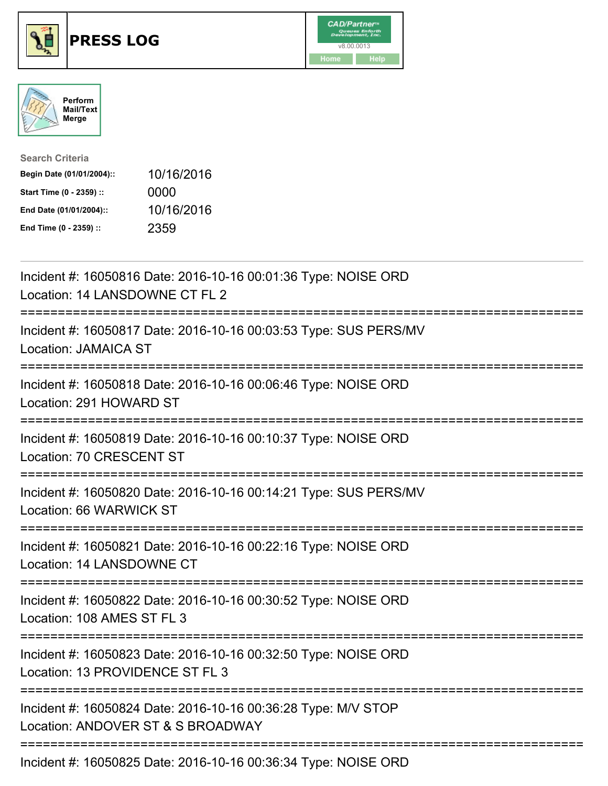





| <b>Search Criteria</b>    |            |
|---------------------------|------------|
| Begin Date (01/01/2004):: | 10/16/2016 |
| Start Time (0 - 2359) ::  | 0000       |
| End Date (01/01/2004)::   | 10/16/2016 |
| End Time (0 - 2359) ::    | 2359       |

| Incident #: 16050816 Date: 2016-10-16 00:01:36 Type: NOISE ORD<br>Location: 14 LANSDOWNE CT FL 2                                     |
|--------------------------------------------------------------------------------------------------------------------------------------|
| Incident #: 16050817 Date: 2016-10-16 00:03:53 Type: SUS PERS/MV<br><b>Location: JAMAICA ST</b>                                      |
| Incident #: 16050818 Date: 2016-10-16 00:06:46 Type: NOISE ORD<br>Location: 291 HOWARD ST                                            |
| Incident #: 16050819 Date: 2016-10-16 00:10:37 Type: NOISE ORD<br>Location: 70 CRESCENT ST                                           |
| Incident #: 16050820 Date: 2016-10-16 00:14:21 Type: SUS PERS/MV<br>Location: 66 WARWICK ST                                          |
| Incident #: 16050821 Date: 2016-10-16 00:22:16 Type: NOISE ORD<br>Location: 14 LANSDOWNE CT                                          |
| Incident #: 16050822 Date: 2016-10-16 00:30:52 Type: NOISE ORD<br>Location: 108 AMES ST FL 3<br>:==================                  |
| Incident #: 16050823 Date: 2016-10-16 00:32:50 Type: NOISE ORD<br>Location: 13 PROVIDENCE ST FL 3                                    |
| Incident #: 16050824 Date: 2016-10-16 00:36:28 Type: M/V STOP<br>Location: ANDOVER ST & S BROADWAY<br>------------------------------ |
| Incident #: 16050825 Date: 2016-10-16 00:36:34 Type: NOISE ORD                                                                       |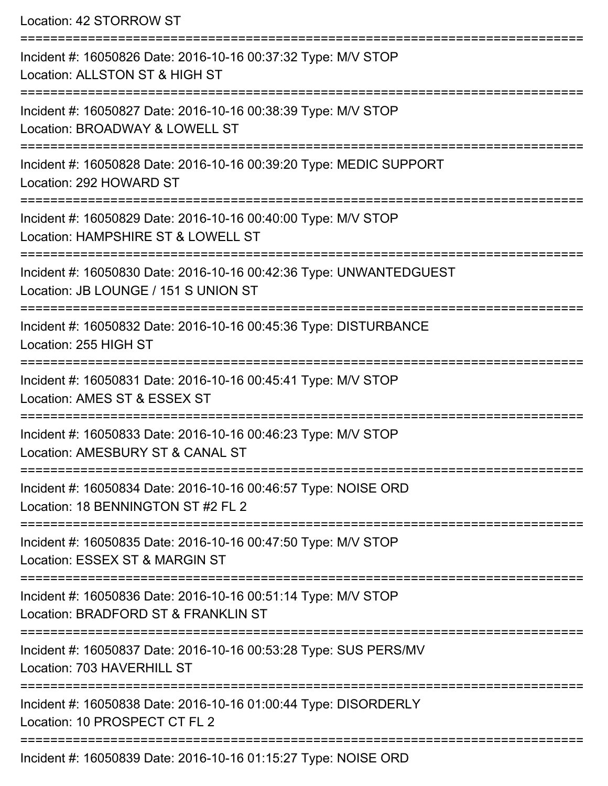Location: 42 STORROW ST =========================================================================== Incident #: 16050826 Date: 2016-10-16 00:37:32 Type: M/V STOP Location: ALLSTON ST & HIGH ST =========================================================================== Incident #: 16050827 Date: 2016-10-16 00:38:39 Type: M/V STOP Location: BROADWAY & LOWELL ST =========================================================================== Incident #: 16050828 Date: 2016-10-16 00:39:20 Type: MEDIC SUPPORT Location: 292 HOWARD ST =========================================================================== Incident #: 16050829 Date: 2016-10-16 00:40:00 Type: M/V STOP Location: HAMPSHIRE ST & LOWELL ST ============================== Incident #: 16050830 Date: 2016-10-16 00:42:36 Type: UNWANTEDGUEST Location: JB LOUNGE / 151 S UNION ST =========================================================================== Incident #: 16050832 Date: 2016-10-16 00:45:36 Type: DISTURBANCE Location: 255 HIGH ST =========================================================================== Incident #: 16050831 Date: 2016-10-16 00:45:41 Type: M/V STOP Location: AMES ST & ESSEX ST =========================================================================== Incident #: 16050833 Date: 2016-10-16 00:46:23 Type: M/V STOP Location: AMESBURY ST & CANAL ST =========================================================================== Incident #: 16050834 Date: 2016-10-16 00:46:57 Type: NOISE ORD Location: 18 BENNINGTON ST #2 FL 2 =========================================================================== Incident #: 16050835 Date: 2016-10-16 00:47:50 Type: M/V STOP Location: ESSEX ST & MARGIN ST =========================================================================== Incident #: 16050836 Date: 2016-10-16 00:51:14 Type: M/V STOP Location: BRADFORD ST & FRANKLIN ST =========================================================================== Incident #: 16050837 Date: 2016-10-16 00:53:28 Type: SUS PERS/MV Location: 703 HAVERHILL ST =========================================================================== Incident #: 16050838 Date: 2016-10-16 01:00:44 Type: DISORDERLY Location: 10 PROSPECT CT FL 2 ===========================================================================

Incident #: 16050839 Date: 2016-10-16 01:15:27 Type: NOISE ORD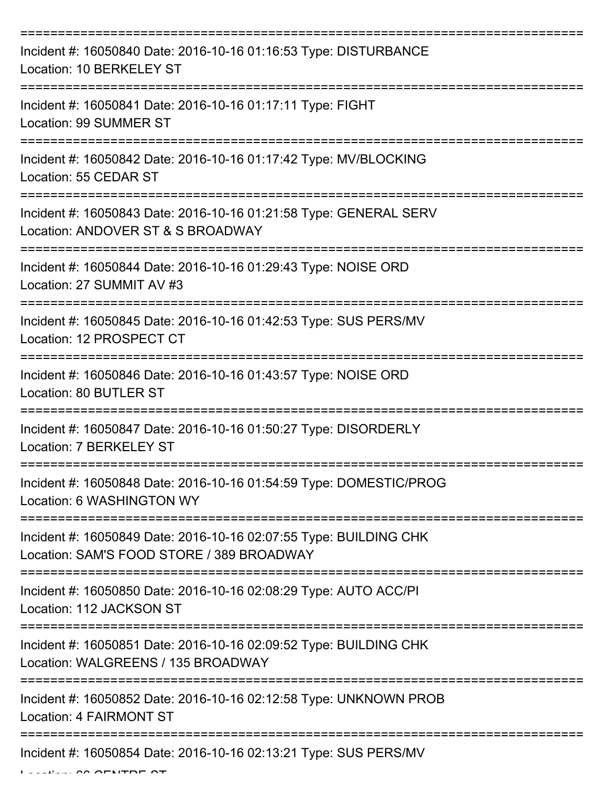| Incident #: 16050840 Date: 2016-10-16 01:16:53 Type: DISTURBANCE<br>Location: 10 BERKELEY ST                   |
|----------------------------------------------------------------------------------------------------------------|
| Incident #: 16050841 Date: 2016-10-16 01:17:11 Type: FIGHT<br>Location: 99 SUMMER ST                           |
| Incident #: 16050842 Date: 2016-10-16 01:17:42 Type: MV/BLOCKING<br>Location: 55 CEDAR ST                      |
| Incident #: 16050843 Date: 2016-10-16 01:21:58 Type: GENERAL SERV<br>Location: ANDOVER ST & S BROADWAY         |
| Incident #: 16050844 Date: 2016-10-16 01:29:43 Type: NOISE ORD<br>Location: 27 SUMMIT AV #3                    |
| Incident #: 16050845 Date: 2016-10-16 01:42:53 Type: SUS PERS/MV<br>Location: 12 PROSPECT CT                   |
| Incident #: 16050846 Date: 2016-10-16 01:43:57 Type: NOISE ORD<br>Location: 80 BUTLER ST                       |
| Incident #: 16050847 Date: 2016-10-16 01:50:27 Type: DISORDERLY<br>Location: 7 BERKELEY ST                     |
| Incident #: 16050848 Date: 2016-10-16 01:54:59 Type: DOMESTIC/PROG<br>Location: 6 WASHINGTON WY                |
| Incident #: 16050849 Date: 2016-10-16 02:07:55 Type: BUILDING CHK<br>Location: SAM'S FOOD STORE / 389 BROADWAY |
| Incident #: 16050850 Date: 2016-10-16 02:08:29 Type: AUTO ACC/PI<br>Location: 112 JACKSON ST                   |
| Incident #: 16050851 Date: 2016-10-16 02:09:52 Type: BUILDING CHK<br>Location: WALGREENS / 135 BROADWAY        |
| Incident #: 16050852 Date: 2016-10-16 02:12:58 Type: UNKNOWN PROB<br>Location: 4 FAIRMONT ST                   |
| Incident #: 16050854 Date: 2016-10-16 02:13:21 Type: SUS PERS/MV                                               |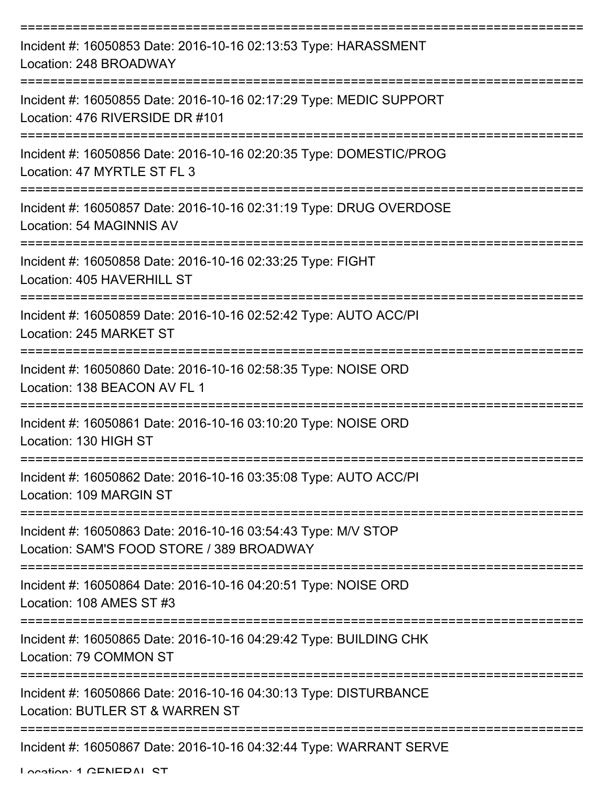| Incident #: 16050853 Date: 2016-10-16 02:13:53 Type: HARASSMENT<br>Location: 248 BROADWAY                  |
|------------------------------------------------------------------------------------------------------------|
| Incident #: 16050855 Date: 2016-10-16 02:17:29 Type: MEDIC SUPPORT<br>Location: 476 RIVERSIDE DR #101      |
| Incident #: 16050856 Date: 2016-10-16 02:20:35 Type: DOMESTIC/PROG<br>Location: 47 MYRTLE ST FL 3          |
| Incident #: 16050857 Date: 2016-10-16 02:31:19 Type: DRUG OVERDOSE<br>Location: 54 MAGINNIS AV             |
| Incident #: 16050858 Date: 2016-10-16 02:33:25 Type: FIGHT<br>Location: 405 HAVERHILL ST                   |
| Incident #: 16050859 Date: 2016-10-16 02:52:42 Type: AUTO ACC/PI<br>Location: 245 MARKET ST                |
| Incident #: 16050860 Date: 2016-10-16 02:58:35 Type: NOISE ORD<br>Location: 138 BEACON AV FL 1             |
| Incident #: 16050861 Date: 2016-10-16 03:10:20 Type: NOISE ORD<br>Location: 130 HIGH ST                    |
| Incident #: 16050862 Date: 2016-10-16 03:35:08 Type: AUTO ACC/PI<br>Location: 109 MARGIN ST                |
| Incident #: 16050863 Date: 2016-10-16 03:54:43 Type: M/V STOP<br>Location: SAM'S FOOD STORE / 389 BROADWAY |
| Incident #: 16050864 Date: 2016-10-16 04:20:51 Type: NOISE ORD<br>Location: 108 AMES ST #3                 |
| Incident #: 16050865 Date: 2016-10-16 04:29:42 Type: BUILDING CHK<br>Location: 79 COMMON ST                |
| Incident #: 16050866 Date: 2016-10-16 04:30:13 Type: DISTURBANCE<br>Location: BUTLER ST & WARREN ST        |
| Incident #: 16050867 Date: 2016-10-16 04:32:44 Type: WARRANT SERVE                                         |

Location: 1 CENEDAL CT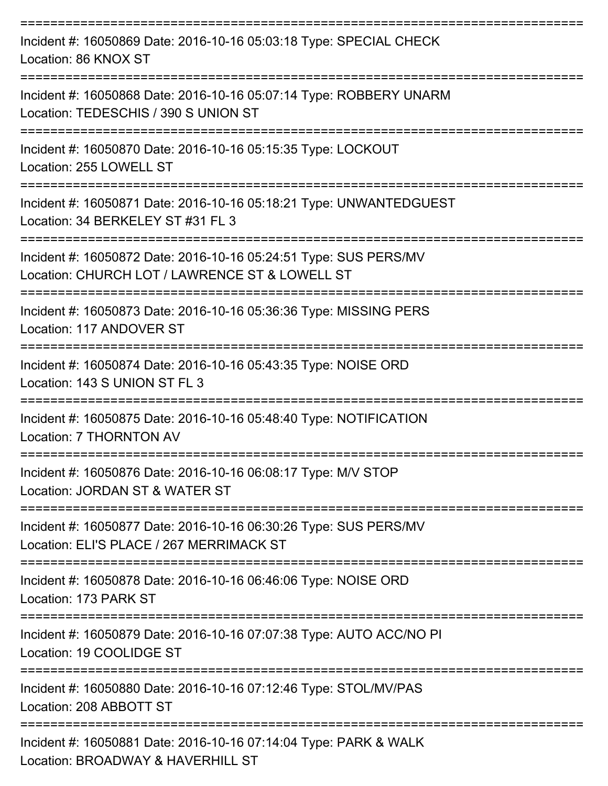| Incident #: 16050869 Date: 2016-10-16 05:03:18 Type: SPECIAL CHECK<br>Location: 86 KNOX ST                         |
|--------------------------------------------------------------------------------------------------------------------|
| Incident #: 16050868 Date: 2016-10-16 05:07:14 Type: ROBBERY UNARM<br>Location: TEDESCHIS / 390 S UNION ST         |
| Incident #: 16050870 Date: 2016-10-16 05:15:35 Type: LOCKOUT<br>Location: 255 LOWELL ST                            |
| Incident #: 16050871 Date: 2016-10-16 05:18:21 Type: UNWANTEDGUEST<br>Location: 34 BERKELEY ST #31 FL 3            |
| Incident #: 16050872 Date: 2016-10-16 05:24:51 Type: SUS PERS/MV<br>Location: CHURCH LOT / LAWRENCE ST & LOWELL ST |
| Incident #: 16050873 Date: 2016-10-16 05:36:36 Type: MISSING PERS<br>Location: 117 ANDOVER ST                      |
| Incident #: 16050874 Date: 2016-10-16 05:43:35 Type: NOISE ORD<br>Location: 143 S UNION ST FL 3                    |
| Incident #: 16050875 Date: 2016-10-16 05:48:40 Type: NOTIFICATION<br>Location: 7 THORNTON AV                       |
| Incident #: 16050876 Date: 2016-10-16 06:08:17 Type: M/V STOP<br>Location: JORDAN ST & WATER ST                    |
| Incident #: 16050877 Date: 2016-10-16 06:30:26 Type: SUS PERS/MV<br>Location: ELI'S PLACE / 267 MERRIMACK ST       |
| Incident #: 16050878 Date: 2016-10-16 06:46:06 Type: NOISE ORD<br>Location: 173 PARK ST                            |
| Incident #: 16050879 Date: 2016-10-16 07:07:38 Type: AUTO ACC/NO PI<br>Location: 19 COOLIDGE ST                    |
| Incident #: 16050880 Date: 2016-10-16 07:12:46 Type: STOL/MV/PAS<br>Location: 208 ABBOTT ST                        |
| Incident #: 16050881 Date: 2016-10-16 07:14:04 Type: PARK & WALK<br>Location: BROADWAY & HAVERHILL ST              |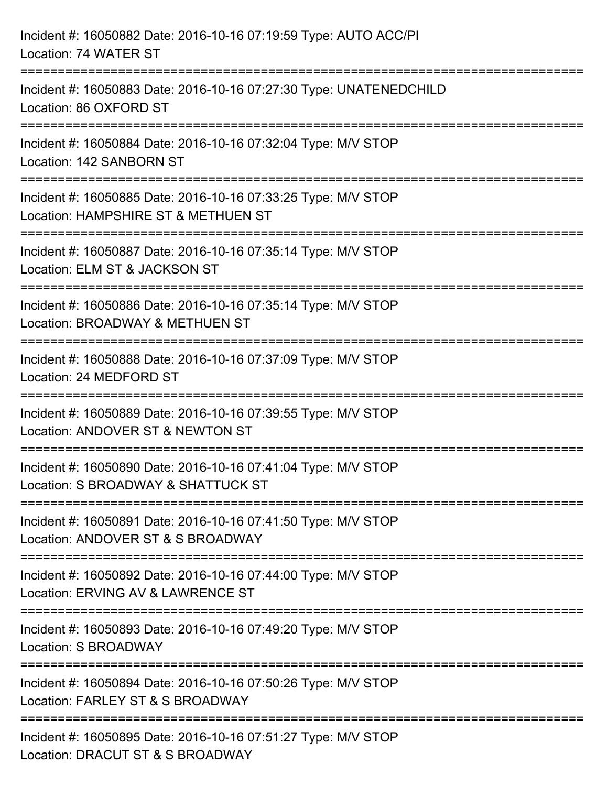| Incident #: 16050882 Date: 2016-10-16 07:19:59 Type: AUTO ACC/PI<br>Location: 74 WATER ST                                         |
|-----------------------------------------------------------------------------------------------------------------------------------|
| Incident #: 16050883 Date: 2016-10-16 07:27:30 Type: UNATENEDCHILD<br>Location: 86 OXFORD ST                                      |
| Incident #: 16050884 Date: 2016-10-16 07:32:04 Type: M/V STOP<br>Location: 142 SANBORN ST                                         |
| Incident #: 16050885 Date: 2016-10-16 07:33:25 Type: M/V STOP<br>Location: HAMPSHIRE ST & METHUEN ST<br>:======================== |
| Incident #: 16050887 Date: 2016-10-16 07:35:14 Type: M/V STOP<br>Location: ELM ST & JACKSON ST                                    |
| Incident #: 16050886 Date: 2016-10-16 07:35:14 Type: M/V STOP<br>Location: BROADWAY & METHUEN ST                                  |
| ---------------------<br>Incident #: 16050888 Date: 2016-10-16 07:37:09 Type: M/V STOP<br>Location: 24 MEDFORD ST                 |
| Incident #: 16050889 Date: 2016-10-16 07:39:55 Type: M/V STOP<br>Location: ANDOVER ST & NEWTON ST                                 |
| Incident #: 16050890 Date: 2016-10-16 07:41:04 Type: M/V STOP<br>Location: S BROADWAY & SHATTUCK ST                               |
| Incident #: 16050891 Date: 2016-10-16 07:41:50 Type: M/V STOP<br>Location: ANDOVER ST & S BROADWAY                                |
| Incident #: 16050892 Date: 2016-10-16 07:44:00 Type: M/V STOP<br>Location: ERVING AV & LAWRENCE ST                                |
| Incident #: 16050893 Date: 2016-10-16 07:49:20 Type: M/V STOP<br>Location: S BROADWAY                                             |
| Incident #: 16050894 Date: 2016-10-16 07:50:26 Type: M/V STOP<br>Location: FARLEY ST & S BROADWAY                                 |
| Incident #: 16050895 Date: 2016-10-16 07:51:27 Type: M/V STOP<br>Location: DRACUT ST & S BROADWAY                                 |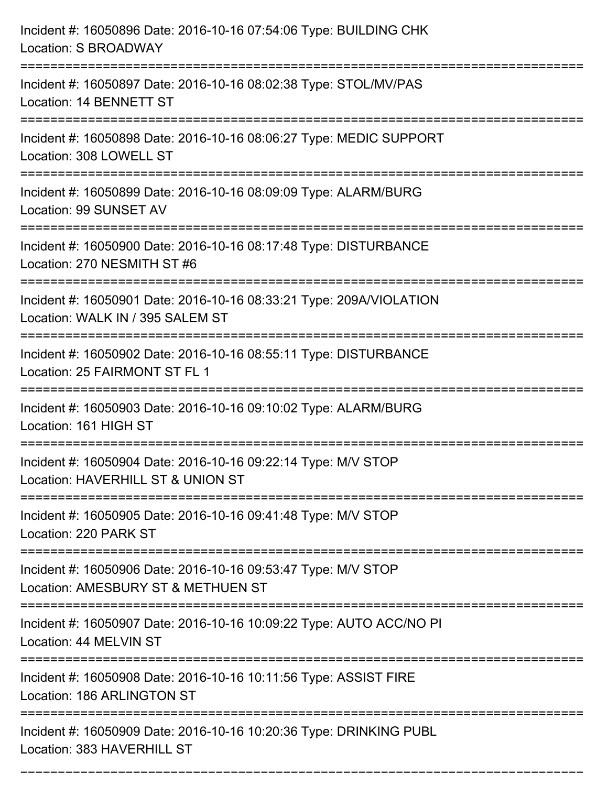| Incident #: 16050896 Date: 2016-10-16 07:54:06 Type: BUILDING CHK<br>Location: S BROADWAY                                 |
|---------------------------------------------------------------------------------------------------------------------------|
| Incident #: 16050897 Date: 2016-10-16 08:02:38 Type: STOL/MV/PAS<br>Location: 14 BENNETT ST                               |
| Incident #: 16050898 Date: 2016-10-16 08:06:27 Type: MEDIC SUPPORT<br>Location: 308 LOWELL ST<br>:======================= |
| Incident #: 16050899 Date: 2016-10-16 08:09:09 Type: ALARM/BURG<br>Location: 99 SUNSET AV                                 |
| Incident #: 16050900 Date: 2016-10-16 08:17:48 Type: DISTURBANCE<br>Location: 270 NESMITH ST #6                           |
| Incident #: 16050901 Date: 2016-10-16 08:33:21 Type: 209A/VIOLATION<br>Location: WALK IN / 395 SALEM ST                   |
| Incident #: 16050902 Date: 2016-10-16 08:55:11 Type: DISTURBANCE<br>Location: 25 FAIRMONT ST FL 1                         |
| Incident #: 16050903 Date: 2016-10-16 09:10:02 Type: ALARM/BURG<br>Location: 161 HIGH ST                                  |
| Incident #: 16050904 Date: 2016-10-16 09:22:14 Type: M/V STOP<br>Location: HAVERHILL ST & UNION ST                        |
| Incident #: 16050905 Date: 2016-10-16 09:41:48 Type: M/V STOP<br>Location: 220 PARK ST                                    |
| Incident #: 16050906 Date: 2016-10-16 09:53:47 Type: M/V STOP<br>Location: AMESBURY ST & METHUEN ST                       |
| Incident #: 16050907 Date: 2016-10-16 10:09:22 Type: AUTO ACC/NO PI<br>Location: 44 MELVIN ST                             |
| Incident #: 16050908 Date: 2016-10-16 10:11:56 Type: ASSIST FIRE<br>Location: 186 ARLINGTON ST                            |
| Incident #: 16050909 Date: 2016-10-16 10:20:36 Type: DRINKING PUBL<br>Location: 383 HAVERHILL ST                          |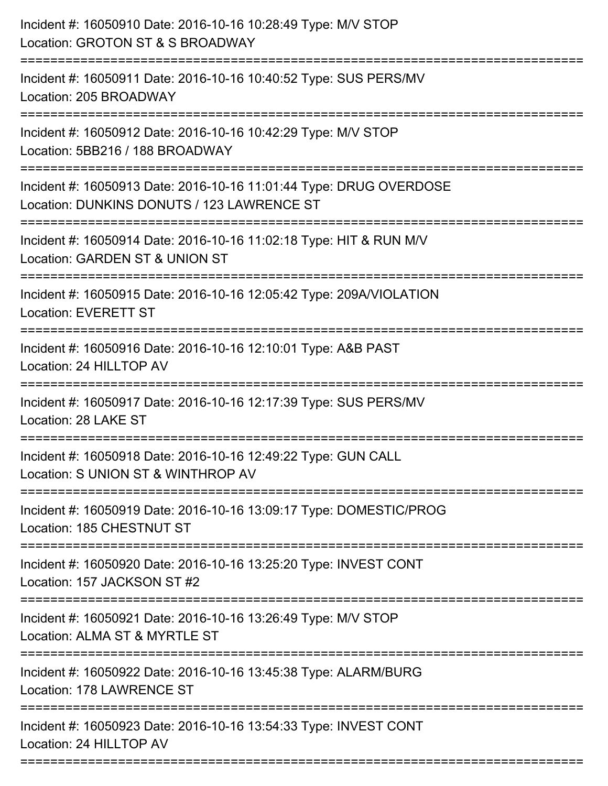| Incident #: 16050910 Date: 2016-10-16 10:28:49 Type: M/V STOP<br>Location: GROTON ST & S BROADWAY                                            |
|----------------------------------------------------------------------------------------------------------------------------------------------|
| Incident #: 16050911 Date: 2016-10-16 10:40:52 Type: SUS PERS/MV<br>Location: 205 BROADWAY                                                   |
| Incident #: 16050912 Date: 2016-10-16 10:42:29 Type: M/V STOP<br>Location: 5BB216 / 188 BROADWAY                                             |
| Incident #: 16050913 Date: 2016-10-16 11:01:44 Type: DRUG OVERDOSE<br>Location: DUNKINS DONUTS / 123 LAWRENCE ST                             |
| Incident #: 16050914 Date: 2016-10-16 11:02:18 Type: HIT & RUN M/V<br>Location: GARDEN ST & UNION ST<br>==================================== |
| Incident #: 16050915 Date: 2016-10-16 12:05:42 Type: 209A/VIOLATION<br><b>Location: EVERETT ST</b>                                           |
| Incident #: 16050916 Date: 2016-10-16 12:10:01 Type: A&B PAST<br>Location: 24 HILLTOP AV                                                     |
| Incident #: 16050917 Date: 2016-10-16 12:17:39 Type: SUS PERS/MV<br>Location: 28 LAKE ST                                                     |
| Incident #: 16050918 Date: 2016-10-16 12:49:22 Type: GUN CALL<br>Location: S UNION ST & WINTHROP AV                                          |
| Incident #: 16050919 Date: 2016-10-16 13:09:17 Type: DOMESTIC/PROG<br>Location: 185 CHESTNUT ST                                              |
| Incident #: 16050920 Date: 2016-10-16 13:25:20 Type: INVEST CONT<br>Location: 157 JACKSON ST #2                                              |
| Incident #: 16050921 Date: 2016-10-16 13:26:49 Type: M/V STOP<br>Location: ALMA ST & MYRTLE ST                                               |
| Incident #: 16050922 Date: 2016-10-16 13:45:38 Type: ALARM/BURG<br>Location: 178 LAWRENCE ST                                                 |
| Incident #: 16050923 Date: 2016-10-16 13:54:33 Type: INVEST CONT<br>Location: 24 HILLTOP AV                                                  |
|                                                                                                                                              |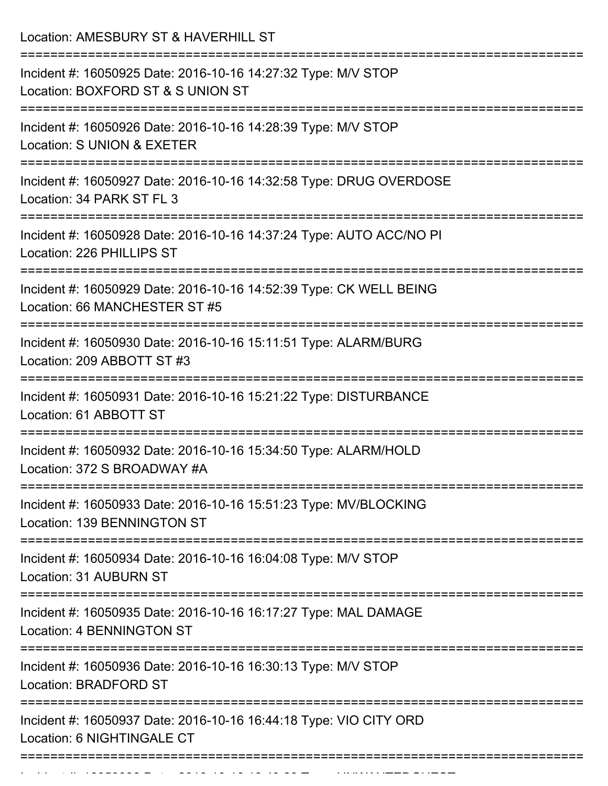Location: AMESBURY ST & HAVERHILL ST =========================================================================== Incident #: 16050925 Date: 2016-10-16 14:27:32 Type: M/V STOP Location: BOXFORD ST & S UNION ST =========================================================================== Incident #: 16050926 Date: 2016-10-16 14:28:39 Type: M/V STOP Location: S UNION & EXETER =========================================================================== Incident #: 16050927 Date: 2016-10-16 14:32:58 Type: DRUG OVERDOSE Location: 34 PARK ST FL 3 =========================================================================== Incident #: 16050928 Date: 2016-10-16 14:37:24 Type: AUTO ACC/NO PI Location: 226 PHILLIPS ST =========================================================================== Incident #: 16050929 Date: 2016-10-16 14:52:39 Type: CK WELL BEING Location: 66 MANCHESTER ST #5 =========================================================================== Incident #: 16050930 Date: 2016-10-16 15:11:51 Type: ALARM/BURG Location: 209 ABBOTT ST #3 =========================================================================== Incident #: 16050931 Date: 2016-10-16 15:21:22 Type: DISTURBANCE Location: 61 ABBOTT ST =========================================================================== Incident #: 16050932 Date: 2016-10-16 15:34:50 Type: ALARM/HOLD Location: 372 S BROADWAY #A =========================================================================== Incident #: 16050933 Date: 2016-10-16 15:51:23 Type: MV/BLOCKING Location: 139 BENNINGTON ST =========================================================================== Incident #: 16050934 Date: 2016-10-16 16:04:08 Type: M/V STOP Location: 31 AUBURN ST =========================================================================== Incident #: 16050935 Date: 2016-10-16 16:17:27 Type: MAL DAMAGE Location: 4 BENNINGTON ST =========================================================================== Incident #: 16050936 Date: 2016-10-16 16:30:13 Type: M/V STOP Location: BRADFORD ST =========================================================================== Incident #: 16050937 Date: 2016-10-16 16:44:18 Type: VIO CITY ORD Location: 6 NIGHTINGALE CT ===========================================================================

Incident #: 16050938 Date: 2016 16050938 Date: 2016 10 16050938 Date: 2016 10 16 16 17 18 19 19 19 19 19 19 1<br>.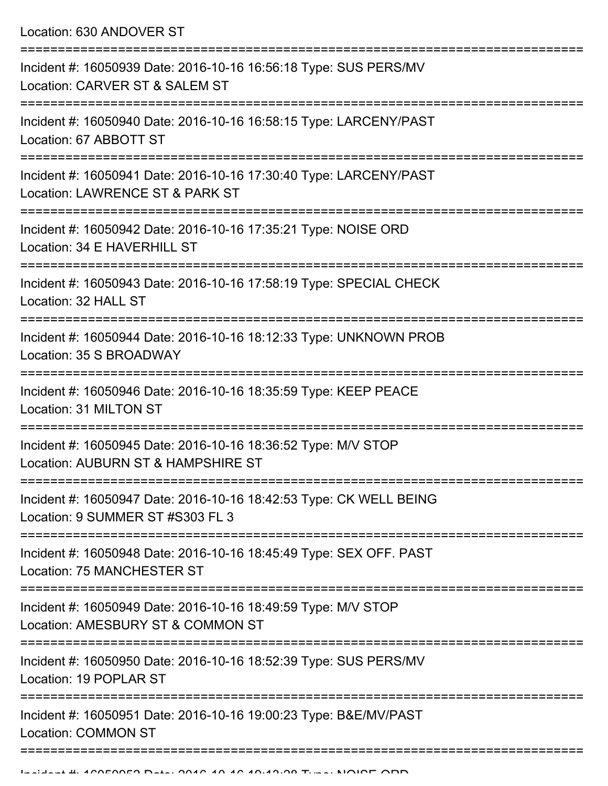Location: 630 ANDOVER ST

| Incident #: 16050939 Date: 2016-10-16 16:56:18 Type: SUS PERS/MV<br>Location: CARVER ST & SALEM ST     |
|--------------------------------------------------------------------------------------------------------|
| Incident #: 16050940 Date: 2016-10-16 16:58:15 Type: LARCENY/PAST<br>Location: 67 ABBOTT ST            |
| Incident #: 16050941 Date: 2016-10-16 17:30:40 Type: LARCENY/PAST<br>Location: LAWRENCE ST & PARK ST   |
| Incident #: 16050942 Date: 2016-10-16 17:35:21 Type: NOISE ORD<br>Location: 34 E HAVERHILL ST          |
| Incident #: 16050943 Date: 2016-10-16 17:58:19 Type: SPECIAL CHECK<br>Location: 32 HALL ST             |
| Incident #: 16050944 Date: 2016-10-16 18:12:33 Type: UNKNOWN PROB<br>Location: 35 S BROADWAY           |
| Incident #: 16050946 Date: 2016-10-16 18:35:59 Type: KEEP PEACE<br>Location: 31 MILTON ST              |
| Incident #: 16050945 Date: 2016-10-16 18:36:52 Type: M/V STOP<br>Location: AUBURN ST & HAMPSHIRE ST    |
| Incident #: 16050947 Date: 2016-10-16 18:42:53 Type: CK WELL BEING<br>Location: 9 SUMMER ST #S303 FL 3 |
| Incident #: 16050948 Date: 2016-10-16 18:45:49 Type: SEX OFF. PAST<br>Location: 75 MANCHESTER ST       |
| Incident #: 16050949 Date: 2016-10-16 18:49:59 Type: M/V STOP<br>Location: AMESBURY ST & COMMON ST     |
| Incident #: 16050950 Date: 2016-10-16 18:52:39 Type: SUS PERS/MV<br>Location: 19 POPLAR ST             |
| Incident #: 16050951 Date: 2016-10-16 19:00:23 Type: B&E/MV/PAST<br><b>Location: COMMON ST</b>         |
|                                                                                                        |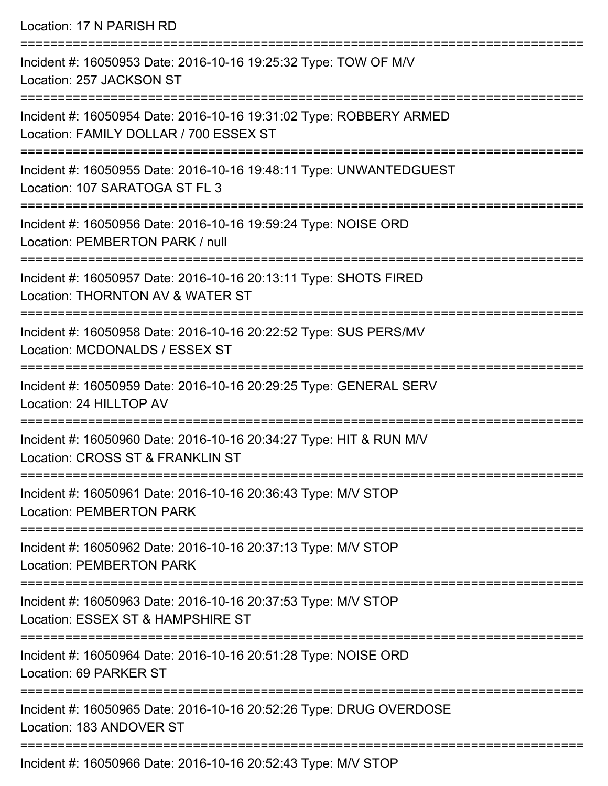Location: 17 N PARISH RD

| Incident #: 16050953 Date: 2016-10-16 19:25:32 Type: TOW OF M/V<br>Location: 257 JACKSON ST                       |
|-------------------------------------------------------------------------------------------------------------------|
| Incident #: 16050954 Date: 2016-10-16 19:31:02 Type: ROBBERY ARMED<br>Location: FAMILY DOLLAR / 700 ESSEX ST      |
| Incident #: 16050955 Date: 2016-10-16 19:48:11 Type: UNWANTEDGUEST<br>Location: 107 SARATOGA ST FL 3              |
| Incident #: 16050956 Date: 2016-10-16 19:59:24 Type: NOISE ORD<br>Location: PEMBERTON PARK / null                 |
| Incident #: 16050957 Date: 2016-10-16 20:13:11 Type: SHOTS FIRED<br>Location: THORNTON AV & WATER ST              |
| Incident #: 16050958 Date: 2016-10-16 20:22:52 Type: SUS PERS/MV<br>Location: MCDONALDS / ESSEX ST                |
| Incident #: 16050959 Date: 2016-10-16 20:29:25 Type: GENERAL SERV<br>Location: 24 HILLTOP AV                      |
| Incident #: 16050960 Date: 2016-10-16 20:34:27 Type: HIT & RUN M/V<br>Location: CROSS ST & FRANKLIN ST            |
| =============<br>Incident #: 16050961 Date: 2016-10-16 20:36:43 Type: M/V STOP<br><b>Location: PEMBERTON PARK</b> |
| Incident #: 16050962 Date: 2016-10-16 20:37:13 Type: M/V STOP<br><b>Location: PEMBERTON PARK</b>                  |
| Incident #: 16050963 Date: 2016-10-16 20:37:53 Type: M/V STOP<br>Location: ESSEX ST & HAMPSHIRE ST                |
| Incident #: 16050964 Date: 2016-10-16 20:51:28 Type: NOISE ORD<br>Location: 69 PARKER ST                          |
| Incident #: 16050965 Date: 2016-10-16 20:52:26 Type: DRUG OVERDOSE<br>Location: 183 ANDOVER ST                    |
| Incident #: 16050966 Date: 2016-10-16 20:52:43 Type: M/V STOP                                                     |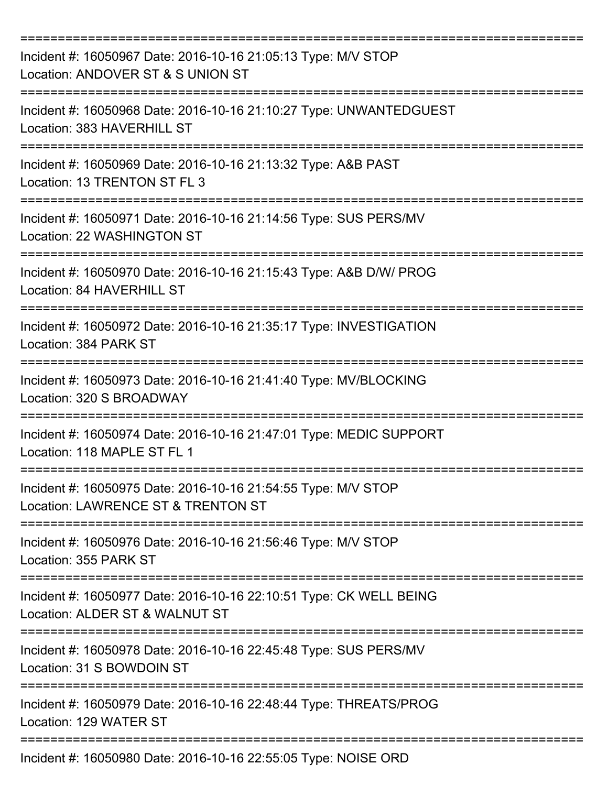| Incident #: 16050967 Date: 2016-10-16 21:05:13 Type: M/V STOP<br>Location: ANDOVER ST & S UNION ST   |
|------------------------------------------------------------------------------------------------------|
| Incident #: 16050968 Date: 2016-10-16 21:10:27 Type: UNWANTEDGUEST<br>Location: 383 HAVERHILL ST     |
| Incident #: 16050969 Date: 2016-10-16 21:13:32 Type: A&B PAST<br>Location: 13 TRENTON ST FL 3        |
| Incident #: 16050971 Date: 2016-10-16 21:14:56 Type: SUS PERS/MV<br>Location: 22 WASHINGTON ST       |
| Incident #: 16050970 Date: 2016-10-16 21:15:43 Type: A&B D/W/ PROG<br>Location: 84 HAVERHILL ST      |
| Incident #: 16050972 Date: 2016-10-16 21:35:17 Type: INVESTIGATION<br>Location: 384 PARK ST          |
| Incident #: 16050973 Date: 2016-10-16 21:41:40 Type: MV/BLOCKING<br>Location: 320 S BROADWAY         |
| Incident #: 16050974 Date: 2016-10-16 21:47:01 Type: MEDIC SUPPORT<br>Location: 118 MAPLE ST FL 1    |
| Incident #: 16050975 Date: 2016-10-16 21:54:55 Type: M/V STOP<br>Location: LAWRENCE ST & TRENTON ST  |
| Incident #: 16050976 Date: 2016-10-16 21:56:46 Type: M/V STOP<br>Location: 355 PARK ST               |
| Incident #: 16050977 Date: 2016-10-16 22:10:51 Type: CK WELL BEING<br>Location: ALDER ST & WALNUT ST |
| Incident #: 16050978 Date: 2016-10-16 22:45:48 Type: SUS PERS/MV<br>Location: 31 S BOWDOIN ST        |
| Incident #: 16050979 Date: 2016-10-16 22:48:44 Type: THREATS/PROG<br>Location: 129 WATER ST          |
| Incident #: 16050980 Date: 2016-10-16 22:55:05 Type: NOISE ORD                                       |